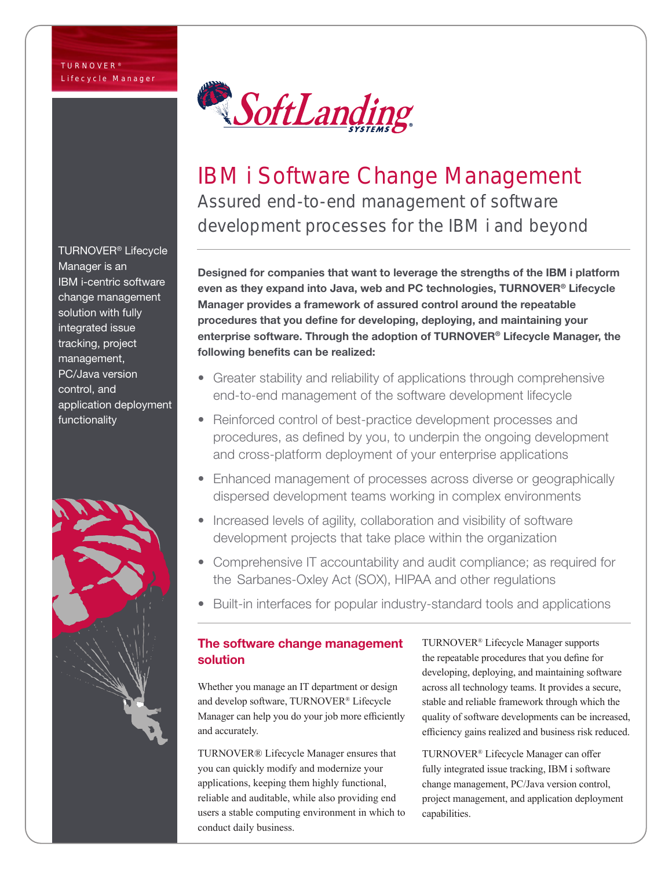TURNOVER® Lifecycle Manager is an IBM i-centric software change management solution with fully integrated issue tracking, project management, PC/Java version control, and application deployment functionality





# IBM i Software Change Management Assured end-to-end management of software development processes for the IBM i and beyond

Designed for companies that want to leverage the strengths of the IBM i platform even as they expand into Java, web and PC technologies, TURNOVER® Lifecycle Manager provides a framework of assured control around the repeatable procedures that you define for developing, deploying, and maintaining your enterprise software. Through the adoption of TURNOVER® Lifecycle Manager, the following benefits can be realized:

- Greater stability and reliability of applications through comprehensive end-to-end management of the software development lifecycle
- Reinforced control of best-practice development processes and procedures, as defined by you, to underpin the ongoing development and cross-platform deployment of your enterprise applications
- Enhanced management of processes across diverse or geographically dispersed development teams working in complex environments
- Increased levels of agility, collaboration and visibility of software development projects that take place within the organization
- Comprehensive IT accountability and audit compliance; as required for the Sarbanes-Oxley Act (SOX), HIPAA and other regulations
- Built-in interfaces for popular industry-standard tools and applications

### The software change management solution

Whether you manage an IT department or design and develop software, TURNOVER® Lifecycle Manager can help you do your job more efficiently and accurately.

TURNOVER® Lifecycle Manager ensures that you can quickly modify and modernize your applications, keeping them highly functional, reliable and auditable, while also providing end users a stable computing environment in which to conduct daily business.

TURNOVER® Lifecycle Manager supports the repeatable procedures that you define for developing, deploying, and maintaining software across all technology teams. It provides a secure, stable and reliable framework through which the quality of software developments can be increased, efficiency gains realized and business risk reduced.

TURNOVER® Lifecycle Manager can offer fully integrated issue tracking, IBM i software change management, PC/Java version control, project management, and application deployment capabilities.